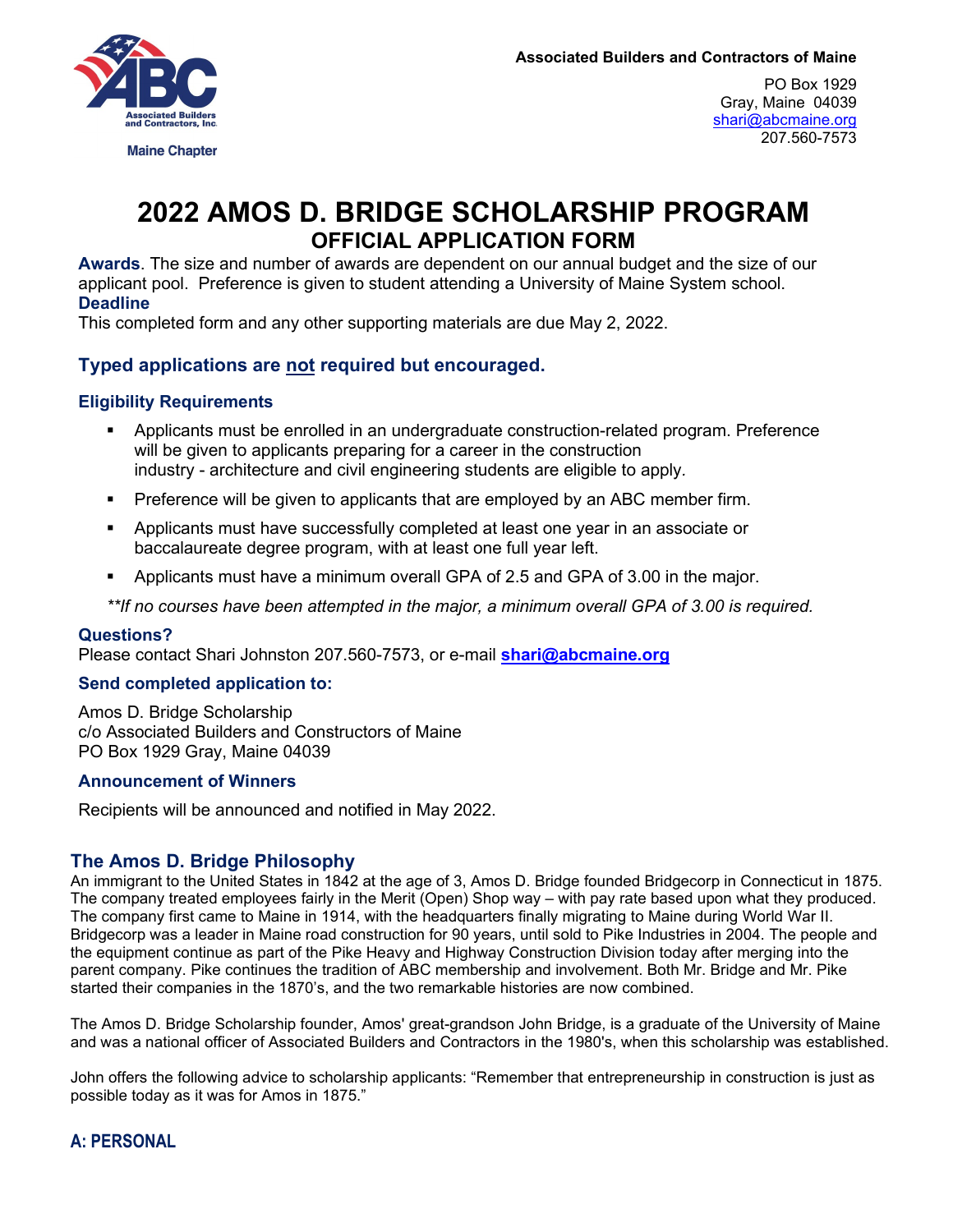

PO Box 1929 Gray, Maine 04039 [shari@abcmaine.org](mailto:shari@abcmaine.org) 207.560-7573

# **2022 AMOS D. BRIDGE SCHOLARSHIP PROGRAM OFFICIAL APPLICATION FORM**

**Awards**. The size and number of awards are dependent on our annual budget and the size of our applicant pool. Preference is given to student attending a University of Maine System school. **Deadline**

This completed form and any other supporting materials are due May 2, 2022.

# **Typed applications are not required but encouraged.**

### **Eligibility Requirements**

- Applicants must be enrolled in an undergraduate construction-related program. Preference will be given to applicants preparing for a career in the construction industry - architecture and civil engineering students are eligible to apply*.*
- **Preference will be given to applicants that are employed by an ABC member firm.**
- Applicants must have successfully completed at least one year in an associate or baccalaureate degree program, with at least one full year left.
- Applicants must have a minimum overall GPA of 2.5 and GPA of 3.00 in the major.

*\*\*If no courses have been attempted in the major, a minimum overall GPA of 3.00 is required.*

#### **Questions?**

Please contact Shari Johnston 207.560-7573, or e-mail **[shari@abcmaine.org](mailto:shari@abcmaine.org)**

#### **Send completed application to:**

Amos D. Bridge Scholarship c/o Associated Builders and Constructors of Maine PO Box 1929 Gray, Maine 04039

#### **Announcement of Winners**

Recipients will be announced and notified in May 2022.

### **The Amos D. Bridge Philosophy**

An immigrant to the United States in 1842 at the age of 3, Amos D. Bridge founded Bridgecorp in Connecticut in 1875. The company treated employees fairly in the Merit (Open) Shop way – with pay rate based upon what they produced. The company first came to Maine in 1914, with the headquarters finally migrating to Maine during World War II. Bridgecorp was a leader in Maine road construction for 90 years, until sold to Pike Industries in 2004. The people and the equipment continue as part of the Pike Heavy and Highway Construction Division today after merging into the parent company. Pike continues the tradition of ABC membership and involvement. Both Mr. Bridge and Mr. Pike started their companies in the 1870's, and the two remarkable histories are now combined.

The Amos D. Bridge Scholarship founder, Amos' great-grandson John Bridge, is a graduate of the University of Maine and was a national officer of Associated Builders and Contractors in the 1980's, when this scholarship was established.

John offers the following advice to scholarship applicants: "Remember that entrepreneurship in construction is just as possible today as it was for Amos in 1875."

# **A: PERSONAL**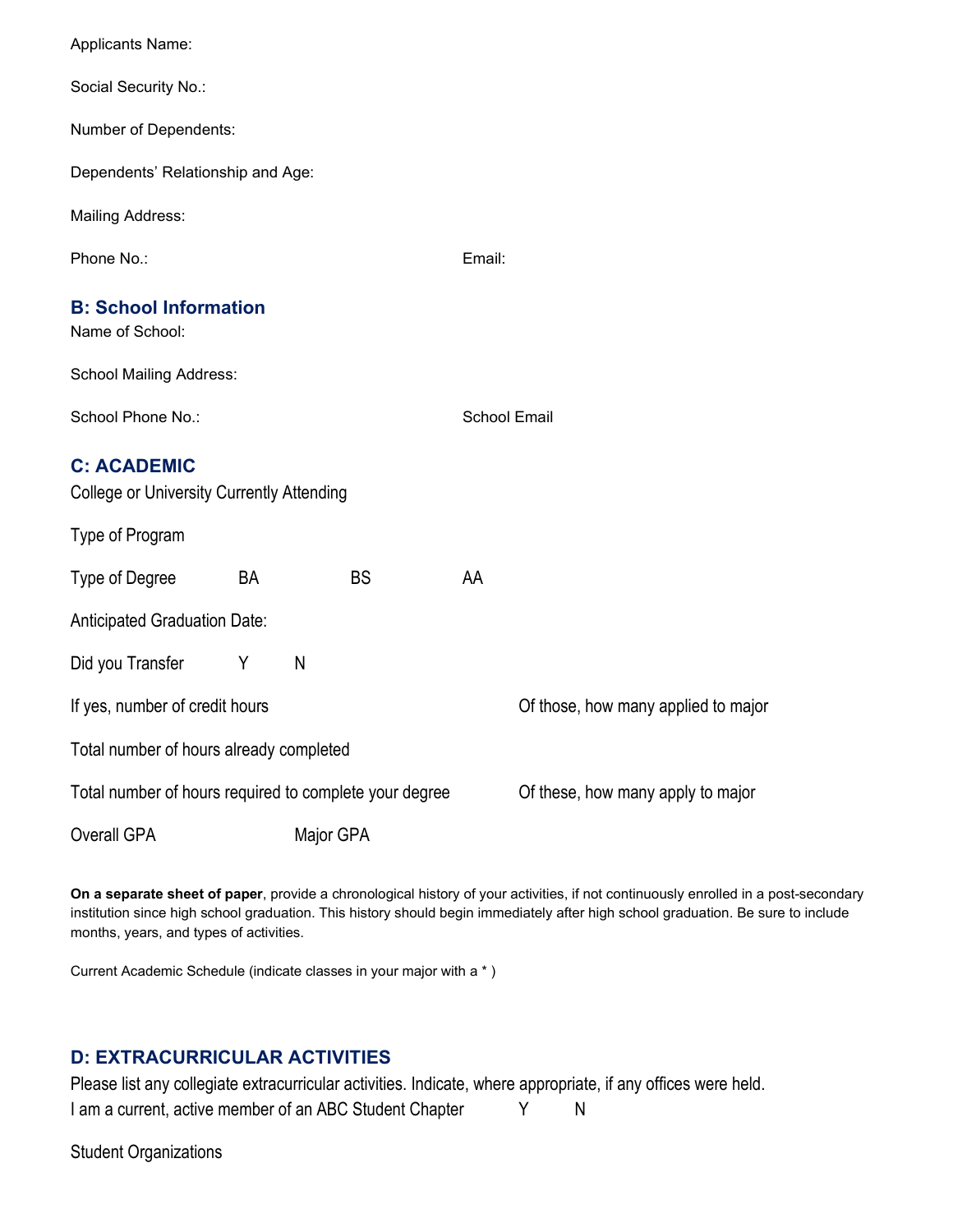| Applicants Name:                                                                            |    |   |           |                     |                                     |  |  |
|---------------------------------------------------------------------------------------------|----|---|-----------|---------------------|-------------------------------------|--|--|
| Social Security No.:                                                                        |    |   |           |                     |                                     |  |  |
| Number of Dependents:                                                                       |    |   |           |                     |                                     |  |  |
| Dependents' Relationship and Age:                                                           |    |   |           |                     |                                     |  |  |
| <b>Mailing Address:</b>                                                                     |    |   |           |                     |                                     |  |  |
| Phone No.:                                                                                  |    |   |           | Email:              |                                     |  |  |
| <b>B: School Information</b><br>Name of School:                                             |    |   |           |                     |                                     |  |  |
| <b>School Mailing Address:</b>                                                              |    |   |           |                     |                                     |  |  |
| School Phone No.:                                                                           |    |   |           | <b>School Email</b> |                                     |  |  |
| <b>C: ACADEMIC</b><br><b>College or University Currently Attending</b>                      |    |   |           |                     |                                     |  |  |
| Type of Program                                                                             |    |   |           |                     |                                     |  |  |
| <b>Type of Degree</b>                                                                       | BA |   | <b>BS</b> | AA                  |                                     |  |  |
| Anticipated Graduation Date:                                                                |    |   |           |                     |                                     |  |  |
| Did you Transfer                                                                            | Y  | N |           |                     |                                     |  |  |
| If yes, number of credit hours                                                              |    |   |           |                     | Of those, how many applied to major |  |  |
| Total number of hours already completed                                                     |    |   |           |                     |                                     |  |  |
| Total number of hours required to complete your degree<br>Of these, how many apply to major |    |   |           |                     |                                     |  |  |
| Overall GPA<br>Major GPA                                                                    |    |   |           |                     |                                     |  |  |

**On a separate sheet of paper**, provide a chronological history of your activities, if not continuously enrolled in a post-secondary institution since high school graduation. This history should begin immediately after high school graduation. Be sure to include months, years, and types of activities.

Current Academic Schedule (indicate classes in your major with a \* )

# **D: EXTRACURRICULAR ACTIVITIES**

Please list any collegiate extracurricular activities. Indicate, where appropriate, if any offices were held. I am a current, active member of an ABC Student Chapter Y N

Student Organizations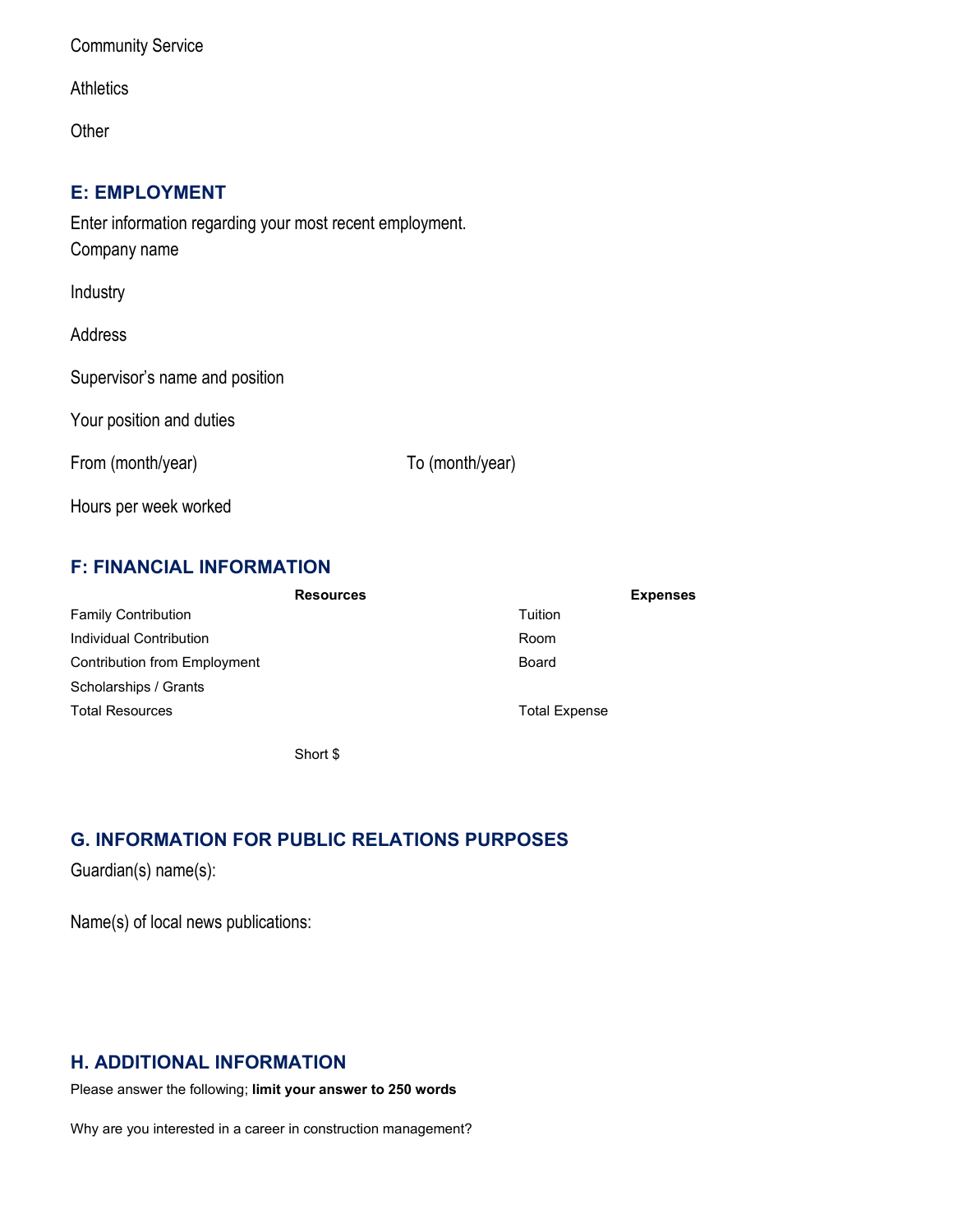Community Service

**Athletics** 

**Other** 

### **E: EMPLOYMENT**

Enter information regarding your most recent employment. Company name

Industry

Address

Supervisor's name and position

Your position and duties

From (month/year) To (month/year)

Hours per week worked

# **F: FINANCIAL INFORMATION**

| <b>Resources</b>                    | <b>Expenses</b>      |  |  |
|-------------------------------------|----------------------|--|--|
| <b>Family Contribution</b>          | Tuition              |  |  |
| Individual Contribution             | Room                 |  |  |
| <b>Contribution from Employment</b> | Board                |  |  |
| Scholarships / Grants               |                      |  |  |
| <b>Total Resources</b>              | <b>Total Expense</b> |  |  |

Short \$

# **G. INFORMATION FOR PUBLIC RELATIONS PURPOSES**

Guardian(s) name(s):

Name(s) of local news publications:

# **H. ADDITIONAL INFORMATION**

Please answer the following; **limit your answer to 250 words**

Why are you interested in a career in construction management?